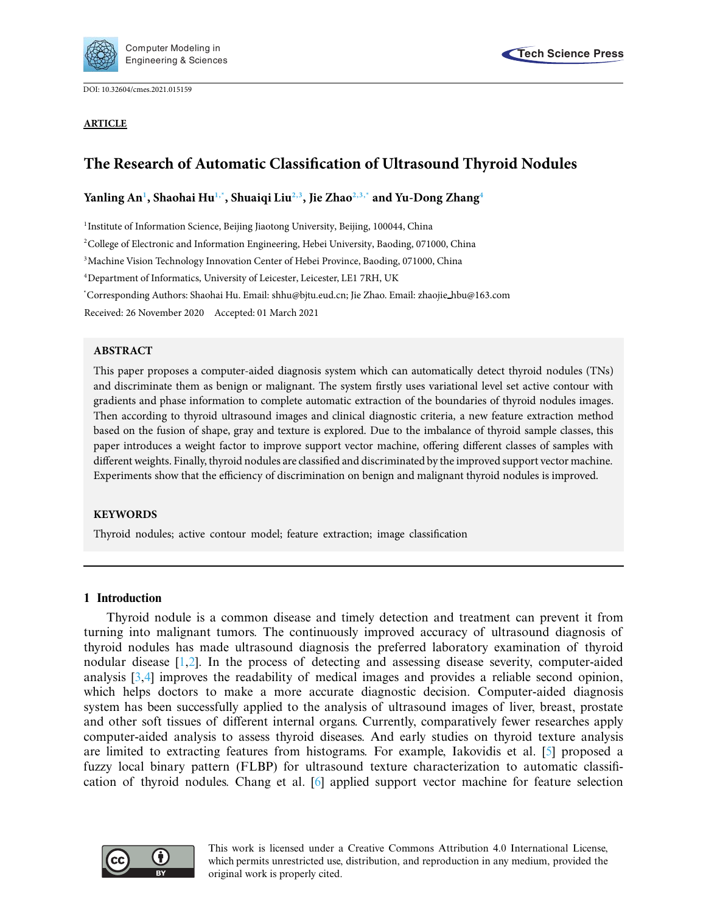

DOI: [10.32604/cmes.2021.015159](http://dx.doi.org/10.32604/cmes.2021.015159)



# **The Research of Automatic Classification of Ultrasound Thyroid Nodules**

**Yanling A[n1](#page-0-0) , Shaohai H[u1](#page-0-0)[,\\*,](#page-0-1) Shuaiqi Li[u2](#page-0-2)[,3,](#page-0-3) Jie Zha[o2,](#page-0-2)[3,](#page-0-3)[\\*](#page-0-1) and Yu-Dong Zhan[g4](#page-0-4)**

<span id="page-0-0"></span><sup>1</sup>Institute of Information Science, Beijing Jiaotong University, Beijing, 100044, China

<span id="page-0-2"></span><sup>2</sup>College of Electronic and Information Engineering, Hebei University, Baoding, 071000, China

<span id="page-0-3"></span>3Machine Vision Technology Innovation Center of Hebei Province, Baoding, 071000, China

<span id="page-0-4"></span>4Department of Informatics, University of Leicester, Leicester, LE1 7RH, UK

<span id="page-0-1"></span>\* Corresponding Authors: Shaohai Hu. Email: shhu@bjtu.eud.cn; Jie Zhao. Email: zhaojie hbu@163.com

Received: 26 November 2020 Accepted: 01 March 2021

### **ABSTRACT**

This paper proposes a computer-aided diagnosis system which can automatically detect thyroid nodules (TNs) and discriminate them as benign or malignant. The system firstly uses variational level set active contour with gradients and phase information to complete automatic extraction of the boundaries of thyroid nodules images. Then according to thyroid ultrasound images and clinical diagnostic criteria, a new feature extraction method based on the fusion of shape, gray and texture is explored. Due to the imbalance of thyroid sample classes, this paper introduces a weight factor to improve support vector machine, offering different classes of samples with different weights. Finally, thyroid nodules are classified and discriminated by the improved support vector machine. Experiments show that the efficiency of discrimination on benign and malignant thyroid nodules is improved.

#### **KEYWORDS**

Thyroid nodules; active contour model; feature extraction; image classification

### **1 Introduction**

Thyroid nodule is a common disease and timely detection and treatment can prevent it from turning into malignant tumors. The continuously improved accuracy of ultrasound diagnosis of thyroid nodules has made ultrasound diagnosis the preferred laboratory examination of thyroid nodular disease [\[1](#page-18-0)[,2](#page-18-1)]. In the process of detecting and assessing disease severity, computer-aided analysis [\[3](#page-18-2)[,4\]](#page-18-3) improves the readability of medical images and provides a reliable second opinion, which helps doctors to make a more accurate diagnostic decision. Computer-aided diagnosis system has been successfully applied to the analysis of ultrasound images of liver, breast, prostate and other soft tissues of different internal organs. Currently, comparatively fewer researches apply computer-aided analysis to assess thyroid diseases. And early studies on thyroid texture analysis are limited to extracting features from histograms. For example, Iakovidis et al. [\[5\]](#page-18-4) proposed a fuzzy local binary pattern (FLBP) for ultrasound texture characterization to automatic classification of thyroid nodules. Chang et al. [\[6](#page-18-5)] applied support vector machine for feature selection

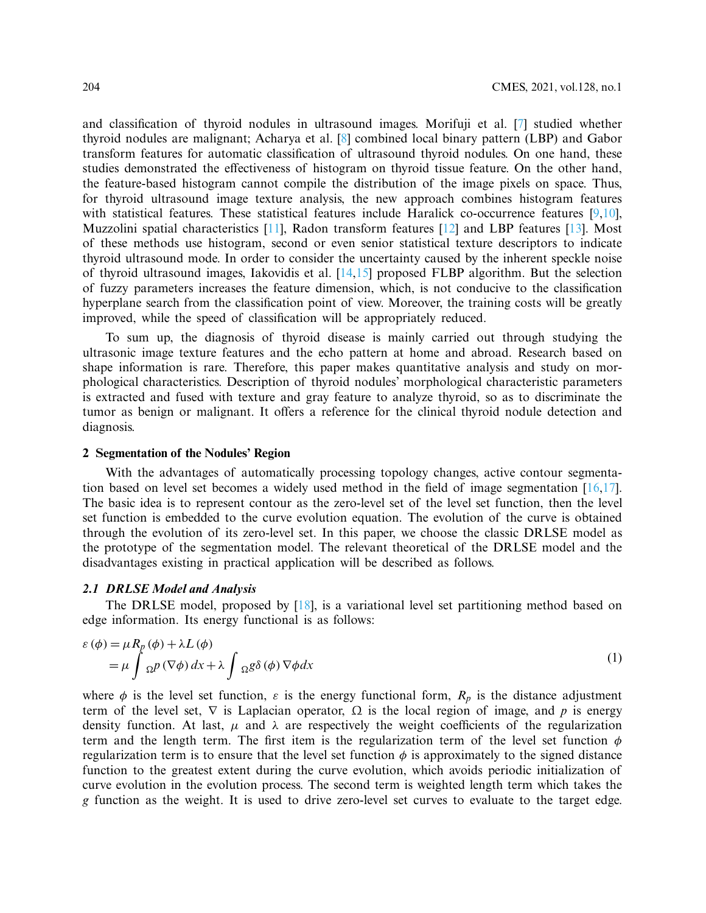and classification of thyroid nodules in ultrasound images. Morifuji et al. [\[7](#page-18-6)] studied whether thyroid nodules are malignant; Acharya et al. [\[8](#page-18-7)] combined local binary pattern (LBP) and Gabor transform features for automatic classification of ultrasound thyroid nodules. On one hand, these studies demonstrated the effectiveness of histogram on thyroid tissue feature. On the other hand, the feature-based histogram cannot compile the distribution of the image pixels on space. Thus, for thyroid ultrasound image texture analysis, the new approach combines histogram features with statistical features. These statistical features include Haralick co-occurrence features  $[9,10]$  $[9,10]$ , Muzzolini spatial characteristics [\[11](#page-18-10)], Radon transform features [\[12\]](#page-18-11) and LBP features [\[13\]](#page-18-12). Most of these methods use histogram, second or even senior statistical texture descriptors to indicate thyroid ultrasound mode. In order to consider the uncertainty caused by the inherent speckle noise of thyroid ultrasound images, Iakovidis et al. [\[14](#page-18-13)[,15\]](#page-19-0) proposed FLBP algorithm. But the selection of fuzzy parameters increases the feature dimension, which, is not conducive to the classification hyperplane search from the classification point of view. Moreover, the training costs will be greatly improved, while the speed of classification will be appropriately reduced.

To sum up, the diagnosis of thyroid disease is mainly carried out through studying the ultrasonic image texture features and the echo pattern at home and abroad. Research based on shape information is rare. Therefore, this paper makes quantitative analysis and study on morphological characteristics. Description of thyroid nodules' morphological characteristic parameters is extracted and fused with texture and gray feature to analyze thyroid, so as to discriminate the tumor as benign or malignant. It offers a reference for the clinical thyroid nodule detection and diagnosis.

#### **2 Segmentation of the Nodules' Region**

With the advantages of automatically processing topology changes, active contour segmentation based on level set becomes a widely used method in the field of image segmentation  $[16,17]$  $[16,17]$ . The basic idea is to represent contour as the zero-level set of the level set function, then the level set function is embedded to the curve evolution equation. The evolution of the curve is obtained through the evolution of its zero-level set. In this paper, we choose the classic DRLSE model as the prototype of the segmentation model. The relevant theoretical of the DRLSE model and the disadvantages existing in practical application will be described as follows.

# *2.1 DRLSE Model and Analysis*

The DRLSE model, proposed by  $[18]$  $[18]$ , is a variational level set partitioning method based on edge information. Its energy functional is as follows:

$$
\varepsilon(\phi) = \mu R_p(\phi) + \lambda L(\phi)
$$
  
= 
$$
\mu \int \Omega^p(\nabla \phi) dx + \lambda \int \Omega^p(\phi) \nabla \phi dx
$$
 (1)

where  $\phi$  is the level set function,  $\varepsilon$  is the energy functional form,  $R_p$  is the distance adjustment term of the level set,  $\nabla$  is Laplacian operator,  $\Omega$  is the local region of image, and *p* is energy density function. At last,  $\mu$  and  $\lambda$  are respectively the weight coefficients of the regularization term and the length term. The first item is the regularization term of the level set function  $\phi$ regularization term is to ensure that the level set function  $\phi$  is approximately to the signed distance function to the greatest extent during the curve evolution, which avoids periodic initialization of curve evolution in the evolution process. The second term is weighted length term which takes the *g* function as the weight. It is used to drive zero-level set curves to evaluate to the target edge.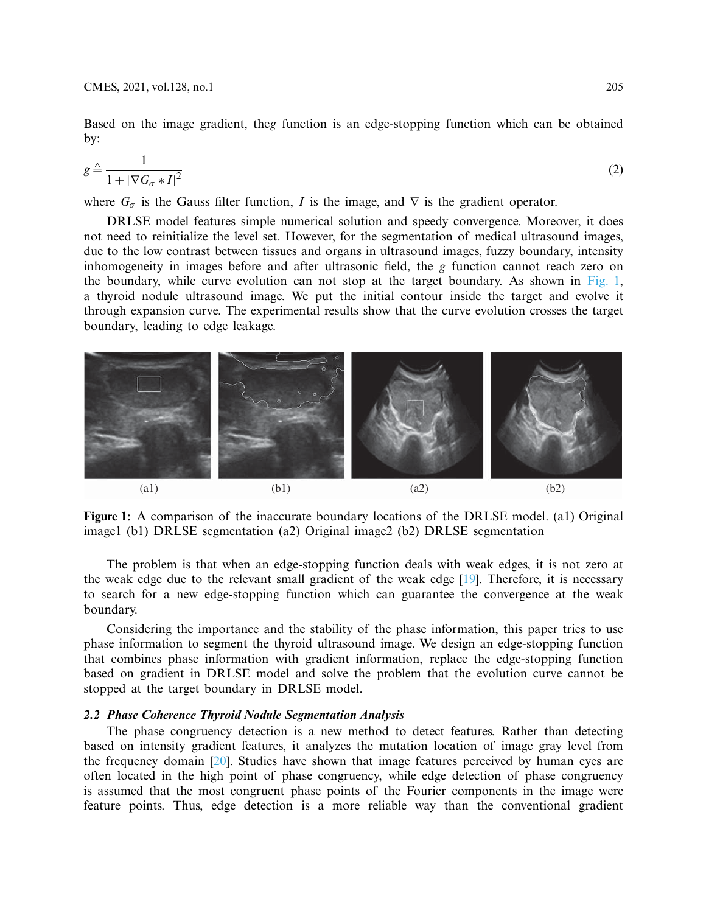Based on the image gradient, the*g* function is an edge-stopping function which can be obtained by:

$$
g \triangleq \frac{1}{1 + |\nabla G_{\sigma} * I|^2} \tag{2}
$$

where  $G_{\sigma}$  is the Gauss filter function, *I* is the image, and  $\nabla$  is the gradient operator.

DRLSE model features simple numerical solution and speedy convergence. Moreover, it does not need to reinitialize the level set. However, for the segmentation of medical ultrasound images, due to the low contrast between tissues and organs in ultrasound images, fuzzy boundary, intensity inhomogeneity in images before and after ultrasonic field, the *g* function cannot reach zero on the boundary, while curve evolution can not stop at the target boundary. As shown in [Fig. 1,](#page-2-0) a thyroid nodule ultrasound image. We put the initial contour inside the target and evolve it through expansion curve. The experimental results show that the curve evolution crosses the target boundary, leading to edge leakage.



**Figure 1:** A comparison of the inaccurate boundary locations of the DRLSE model. (a1) Original image1 (b1) DRLSE segmentation (a2) Original image2 (b2) DRLSE segmentation

<span id="page-2-0"></span>The problem is that when an edge-stopping function deals with weak edges, it is not zero at the weak edge due to the relevant small gradient of the weak edge [\[19\]](#page-19-4). Therefore, it is necessary to search for a new edge-stopping function which can guarantee the convergence at the weak boundary.

Considering the importance and the stability of the phase information, this paper tries to use phase information to segment the thyroid ultrasound image. We design an edge-stopping function that combines phase information with gradient information, replace the edge-stopping function based on gradient in DRLSE model and solve the problem that the evolution curve cannot be stopped at the target boundary in DRLSE model.

### *2.2 Phase Coherence Thyroid Nodule Segmentation Analysis*

The phase congruency detection is a new method to detect features. Rather than detecting based on intensity gradient features, it analyzes the mutation location of image gray level from the frequency domain [\[20](#page-19-5)]. Studies have shown that image features perceived by human eyes are often located in the high point of phase congruency, while edge detection of phase congruency is assumed that the most congruent phase points of the Fourier components in the image were feature points. Thus, edge detection is a more reliable way than the conventional gradient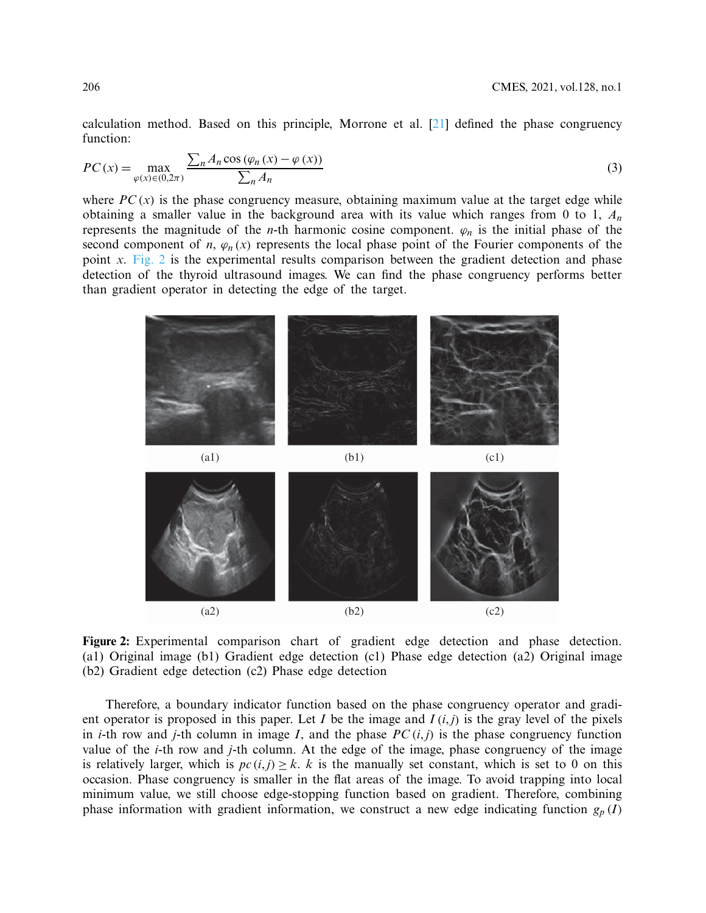calculation method. Based on this principle, Morrone et al.  $[21]$  $[21]$  defined the phase congruency function:

$$
PC(x) = \max_{\varphi(x)\in(0,2\pi)} \frac{\sum_{n} A_n \cos(\varphi_n(x) - \varphi(x))}{\sum_{n} A_n}
$$
(3)

where  $PC(x)$  is the phase congruency measure, obtaining maximum value at the target edge while obtaining a smaller value in the background area with its value which ranges from 0 to 1, *An* represents the magnitude of the *n*-th harmonic cosine component.  $\varphi_n$  is the initial phase of the second component of *n*,  $\varphi_n(x)$  represents the local phase point of the Fourier components of the point *x*. [Fig. 2](#page-3-0) is the experimental results comparison between the gradient detection and phase detection of the thyroid ultrasound images. We can find the phase congruency performs better than gradient operator in detecting the edge of the target.



<span id="page-3-0"></span>**Figure 2:** Experimental comparison chart of gradient edge detection and phase detection. (a1) Original image (b1) Gradient edge detection (c1) Phase edge detection (a2) Original image (b2) Gradient edge detection (c2) Phase edge detection

Therefore, a boundary indicator function based on the phase congruency operator and gradient operator is proposed in this paper. Let  $I$  be the image and  $I(i, j)$  is the gray level of the pixels in *i*-th row and *j*-th column in image *I*, and the phase *PC*  $(i, j)$  is the phase congruency function value of the *i*-th row and *j*-th column. At the edge of the image, phase congruency of the image is relatively larger, which is  $pc(i, j) \geq k$ . *k* is the manually set constant, which is set to 0 on this occasion. Phase congruency is smaller in the flat areas of the image. To avoid trapping into local minimum value, we still choose edge-stopping function based on gradient. Therefore, combining phase information with gradient information, we construct a new edge indicating function  $g_p(I)$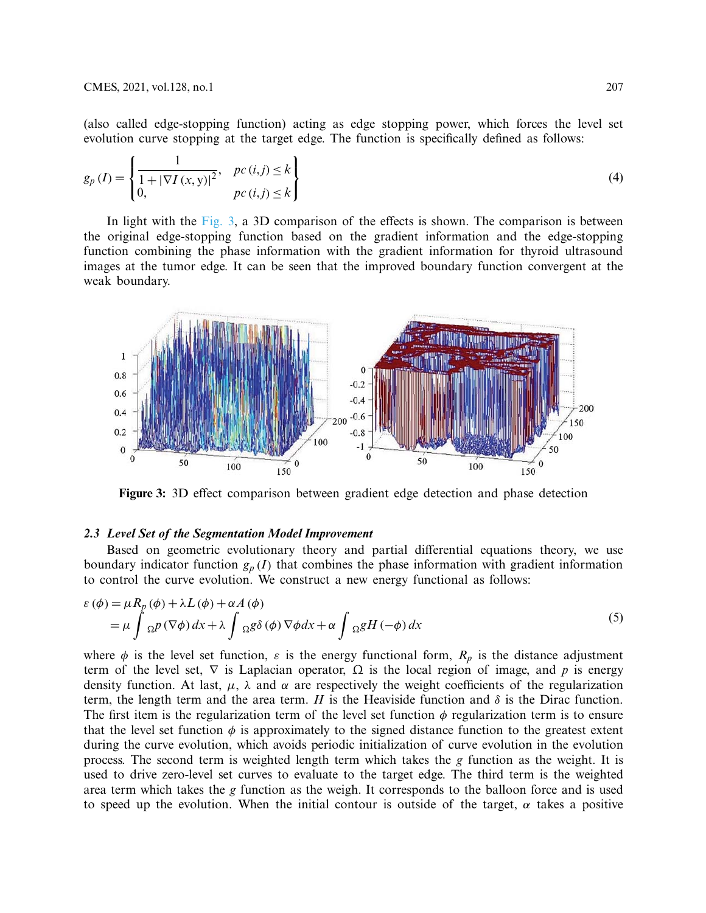(also called edge-stopping function) acting as edge stopping power, which forces the level set evolution curve stopping at the target edge. The function is specifically defined as follows:

$$
g_p(I) = \begin{cases} \frac{1}{1 + |\nabla I(x, y)|^2}, & pc(i, j) \le k \\ 0, & pc(i, j) \le k \end{cases}
$$
 (4)

In light with the [Fig. 3,](#page-4-0) a 3D comparison of the effects is shown. The comparison is between the original edge-stopping function based on the gradient information and the edge-stopping function combining the phase information with the gradient information for thyroid ultrasound images at the tumor edge. It can be seen that the improved boundary function convergent at the weak boundary.



<span id="page-4-0"></span>**Figure 3:** 3D effect comparison between gradient edge detection and phase detection

#### *2.3 Level Set of the Segmentation Model Improvement*

Based on geometric evolutionary theory and partial differential equations theory, we use boundary indicator function  $g_p(I)$  that combines the phase information with gradient information to control the curve evolution. We construct a new energy functional as follows:

$$
\varepsilon(\phi) = \mu R_p(\phi) + \lambda L(\phi) + \alpha A(\phi)
$$
  
= 
$$
\mu \int \Omega^p(\nabla \phi) dx + \lambda \int \Omega^p(\phi) \nabla \phi dx + \alpha \int \Omega^p(\phi) dx
$$
 (5)

where  $\phi$  is the level set function,  $\varepsilon$  is the energy functional form,  $R_p$  is the distance adjustment term of the level set,  $\nabla$  is Laplacian operator,  $\Omega$  is the local region of image, and *p* is energy density function. At last,  $\mu$ ,  $\lambda$  and  $\alpha$  are respectively the weight coefficients of the regularization term, the length term and the area term. *H* is the Heaviside function and  $\delta$  is the Dirac function. The first item is the regularization term of the level set function  $\phi$  regularization term is to ensure that the level set function  $\phi$  is approximately to the signed distance function to the greatest extent during the curve evolution, which avoids periodic initialization of curve evolution in the evolution process. The second term is weighted length term which takes the *g* function as the weight. It is used to drive zero-level set curves to evaluate to the target edge. The third term is the weighted area term which takes the *g* function as the weigh. It corresponds to the balloon force and is used to speed up the evolution. When the initial contour is outside of the target,  $\alpha$  takes a positive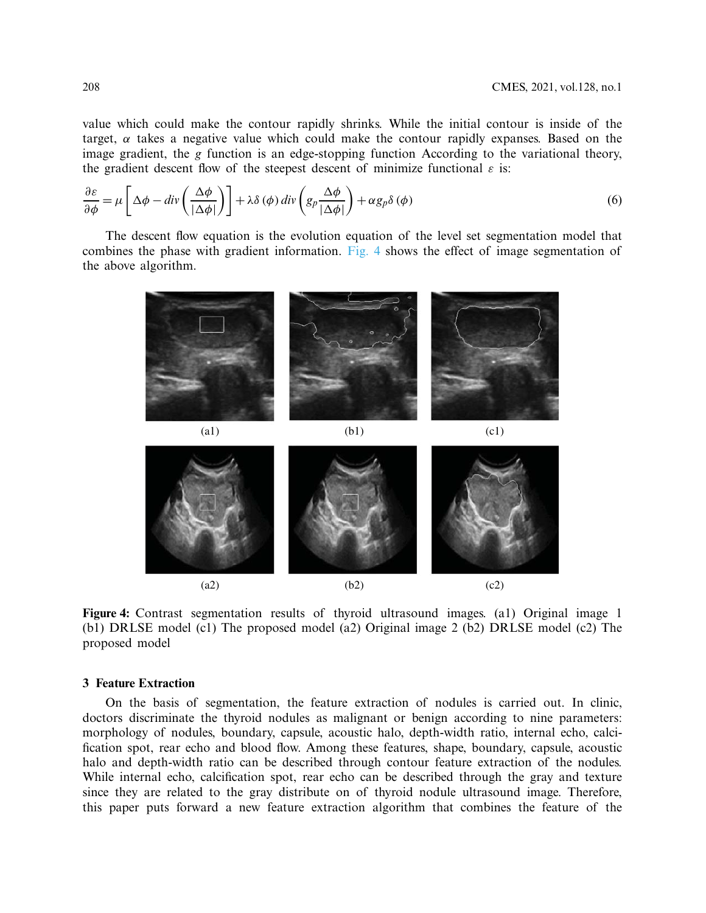value which could make the contour rapidly shrinks. While the initial contour is inside of the target,  $\alpha$  takes a negative value which could make the contour rapidly expanses. Based on the image gradient, the *g* function is an edge-stopping function According to the variational theory, the gradient descent flow of the steepest descent of minimize functional  $\varepsilon$  is:

$$
\frac{\partial \varepsilon}{\partial \phi} = \mu \left[ \Delta \phi - \text{div} \left( \frac{\Delta \phi}{|\Delta \phi|} \right) \right] + \lambda \delta (\phi) \, \text{div} \left( g_p \frac{\Delta \phi}{|\Delta \phi|} \right) + \alpha g_p \delta (\phi) \tag{6}
$$

The descent flow equation is the evolution equation of the level set segmentation model that combines the phase with gradient information. [Fig. 4](#page-5-0) shows the effect of image segmentation of the above algorithm.



**Figure 4:** Contrast segmentation results of thyroid ultrasound images. (a1) Original image 1 (b1) DRLSE model (c1) The proposed model (a2) Original image 2 (b2) DRLSE model (c2) The proposed model

### <span id="page-5-0"></span>**3 Feature Extraction**

On the basis of segmentation, the feature extraction of nodules is carried out. In clinic, doctors discriminate the thyroid nodules as malignant or benign according to nine parameters: morphology of nodules, boundary, capsule, acoustic halo, depth-width ratio, internal echo, calcification spot, rear echo and blood flow. Among these features, shape, boundary, capsule, acoustic halo and depth-width ratio can be described through contour feature extraction of the nodules. While internal echo, calcification spot, rear echo can be described through the gray and texture since they are related to the gray distribute on of thyroid nodule ultrasound image. Therefore, this paper puts forward a new feature extraction algorithm that combines the feature of the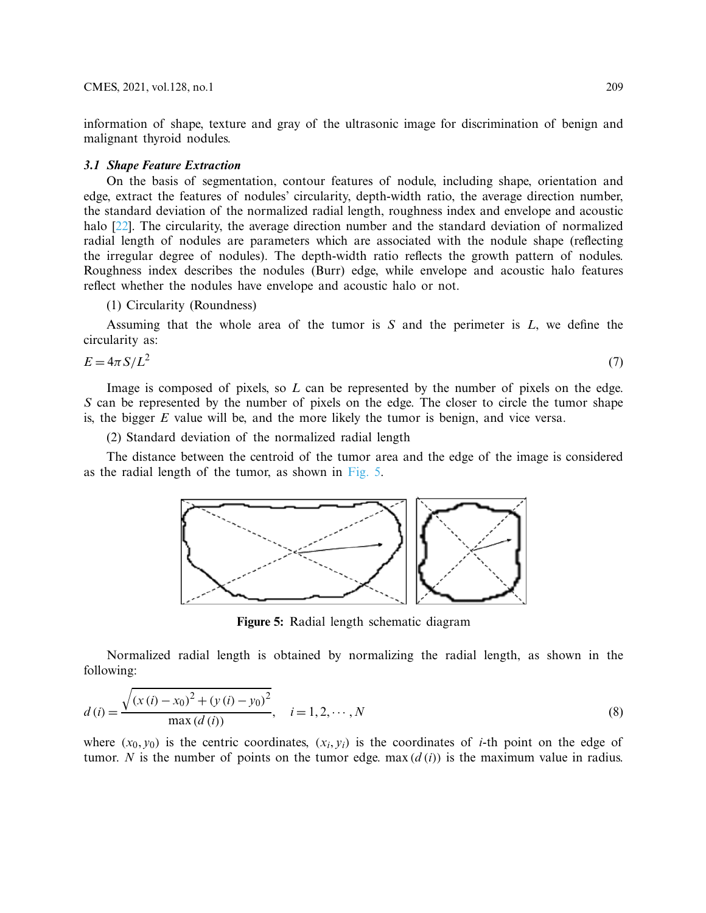information of shape, texture and gray of the ultrasonic image for discrimination of benign and malignant thyroid nodules.

### *3.1 Shape Feature Extraction*

On the basis of segmentation, contour features of nodule, including shape, orientation and edge, extract the features of nodules' circularity, depth-width ratio, the average direction number, the standard deviation of the normalized radial length, roughness index and envelope and acoustic halo [\[22](#page-19-7)]. The circularity, the average direction number and the standard deviation of normalized radial length of nodules are parameters which are associated with the nodule shape (reflecting the irregular degree of nodules). The depth-width ratio reflects the growth pattern of nodules. Roughness index describes the nodules (Burr) edge, while envelope and acoustic halo features reflect whether the nodules have envelope and acoustic halo or not.

(1) Circularity (Roundness)

Assuming that the whole area of the tumor is *S* and the perimeter is *L*, we define the circularity as:

$$
E = 4\pi S/L^2 \tag{7}
$$

Image is composed of pixels, so *L* can be represented by the number of pixels on the edge. *S* can be represented by the number of pixels on the edge. The closer to circle the tumor shape is, the bigger *E* value will be, and the more likely the tumor is benign, and vice versa.

(2) Standard deviation of the normalized radial length

The distance between the centroid of the tumor area and the edge of the image is considered as the radial length of the tumor, as shown in [Fig. 5.](#page-6-0)



<span id="page-6-0"></span>**Figure 5:** Radial length schematic diagram

Normalized radial length is obtained by normalizing the radial length, as shown in the following:

$$
d(i) = \frac{\sqrt{(x(i) - x_0)^2 + (y(i) - y_0)^2}}{\max(d(i))}, \quad i = 1, 2, \cdots, N
$$
\n(8)

where  $(x_0, y_0)$  is the centric coordinates,  $(x_i, y_i)$  is the coordinates of *i*-th point on the edge of tumor. *N* is the number of points on the tumor edge. max  $(d(i))$  is the maximum value in radius.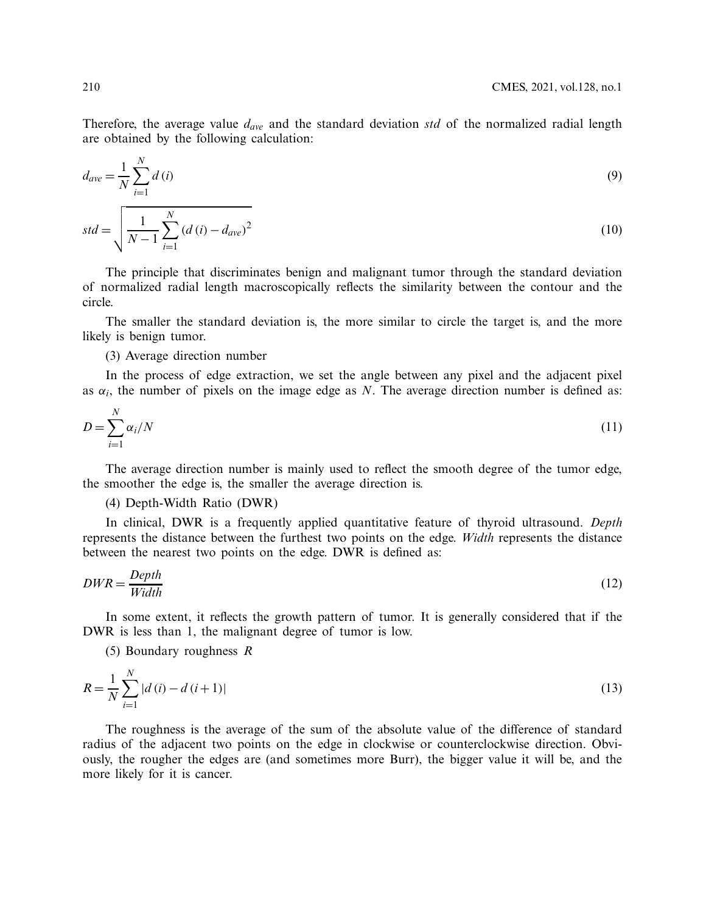Therefore, the average value *dave* and the standard deviation *std* of the normalized radial length are obtained by the following calculation:

$$
d_{ave} = \frac{1}{N} \sum_{i=1}^{N} d(i)
$$
 (9)

$$
std = \sqrt{\frac{1}{N-1} \sum_{i=1}^{N} (d(i) - d_{ave})^2}
$$
\n(10)

The principle that discriminates benign and malignant tumor through the standard deviation of normalized radial length macroscopically reflects the similarity between the contour and the circle.

The smaller the standard deviation is, the more similar to circle the target is, and the more likely is benign tumor.

(3) Average direction number

In the process of edge extraction, we set the angle between any pixel and the adjacent pixel as  $\alpha_i$ , the number of pixels on the image edge as *N*. The average direction number is defined as:

$$
D = \sum_{i=1}^{N} \alpha_i / N \tag{11}
$$

The average direction number is mainly used to reflect the smooth degree of the tumor edge, the smoother the edge is, the smaller the average direction is.

# (4) Depth-Width Ratio (DWR)

In clinical, DWR is a frequently applied quantitative feature of thyroid ultrasound. *Depth* represents the distance between the furthest two points on the edge. *Width* represents the distance between the nearest two points on the edge. DWR is defined as:

$$
DWR = \frac{Depth}{Width} \tag{12}
$$

In some extent, it reflects the growth pattern of tumor. It is generally considered that if the DWR is less than 1, the malignant degree of tumor is low.

(5) Boundary roughness *R*

$$
R = \frac{1}{N} \sum_{i=1}^{N} |d(i) - d(i+1)| \tag{13}
$$

The roughness is the average of the sum of the absolute value of the difference of standard radius of the adjacent two points on the edge in clockwise or counterclockwise direction. Obviously, the rougher the edges are (and sometimes more Burr), the bigger value it will be, and the more likely for it is cancer.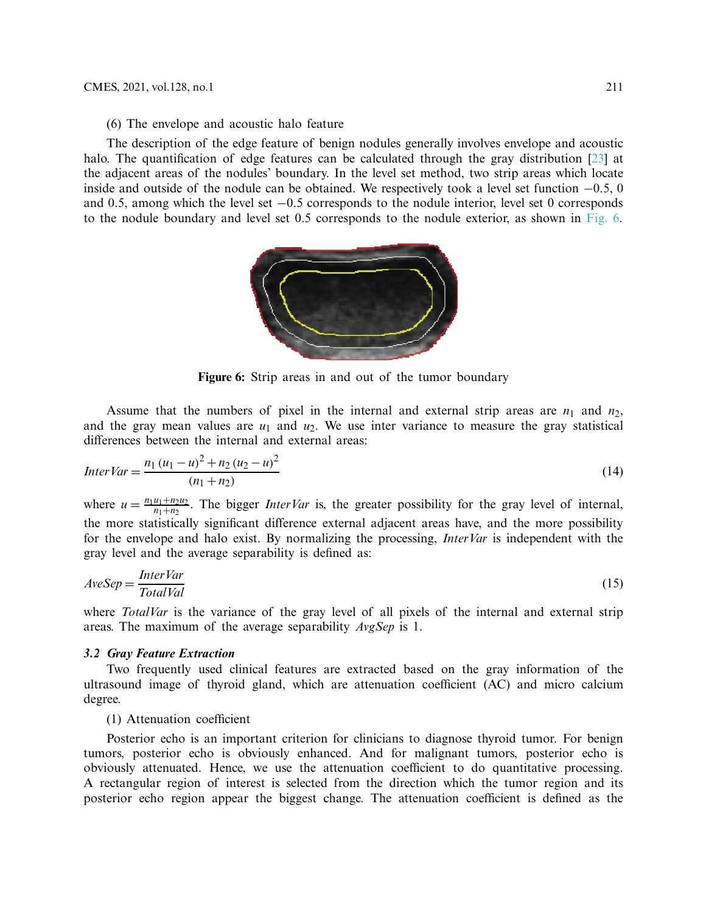(6) The envelope and acoustic halo feature

The description of the edge feature of benign nodules generally involves envelope and acoustic halo. The quantification of edge features can be calculated through the gray distribution [\[23](#page-19-8)] at the adjacent areas of the nodules' boundary. In the level set method, two strip areas which locate inside and outside of the nodule can be obtained. We respectively took a level set function −0.5, 0 and 0.5, among which the level set −0.5 corresponds to the nodule interior, level set 0 corresponds to the nodule boundary and level set 0.5 corresponds to the nodule exterior, as shown in [Fig. 6.](#page-8-0)

<span id="page-8-0"></span>

**Figure 6:** Strip areas in and out of the tumor boundary

Assume that the numbers of pixel in the internal and external strip areas are  $n_1$  and  $n_2$ , and the gray mean values are  $u_1$  and  $u_2$ . We use inter variance to measure the gray statistical differences between the internal and external areas:

$$
InterVar = \frac{n_1 (u_1 - u)^2 + n_2 (u_2 - u)^2}{(n_1 + n_2)}
$$
\n(14)

where  $u = \frac{n_1u_1 + n_2u_2}{n_1 + n_2}$ . The bigger *InterVar* is, the greater possibility for the gray level of internal, the more statistically significant difference external adjacent areas have, and the more possibility for the envelope and halo exist. By normalizing the processing, *InterVar* is independent with the gray level and the average separability is defined as:

$$
AveSep = \frac{InterVar}{TotalVal}
$$
 (15)

where *TotalVar* is the variance of the gray level of all pixels of the internal and external strip areas. The maximum of the average separability *AvgSep* is 1.

### *3.2 Gray Feature Extraction*

Two frequently used clinical features are extracted based on the gray information of the ultrasound image of thyroid gland, which are attenuation coefficient (AC) and micro calcium degree.

(1) Attenuation coefficient

Posterior echo is an important criterion for clinicians to diagnose thyroid tumor. For benign tumors, posterior echo is obviously enhanced. And for malignant tumors, posterior echo is obviously attenuated. Hence, we use the attenuation coefficient to do quantitative processing. A rectangular region of interest is selected from the direction which the tumor region and its posterior echo region appear the biggest change. The attenuation coefficient is defined as the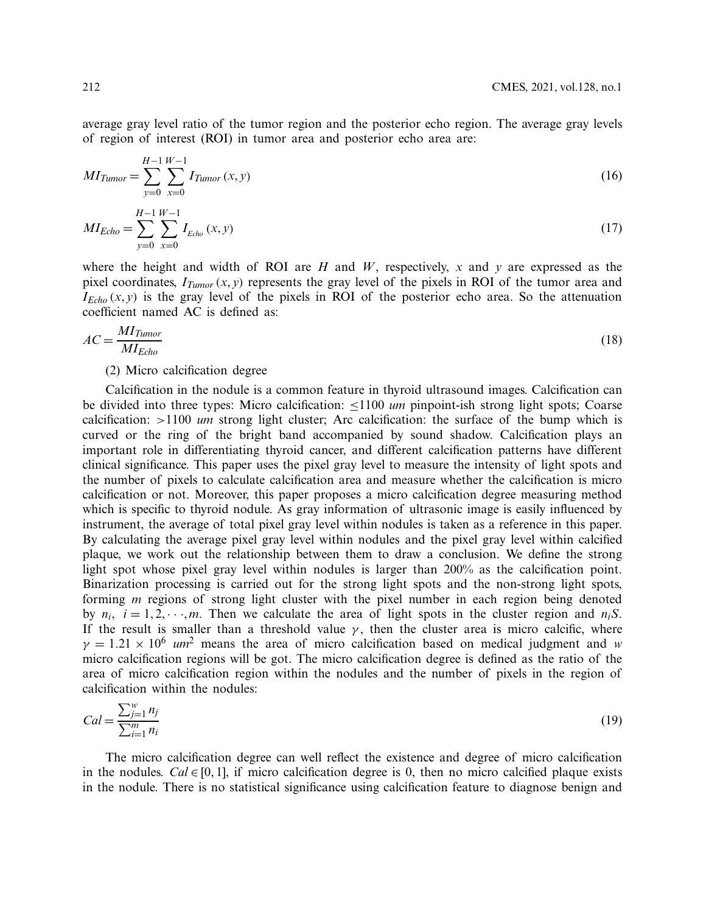average gray level ratio of the tumor region and the posterior echo region. The average gray levels of region of interest (ROI) in tumor area and posterior echo area are:

$$
MI_{Tumor} = \sum_{y=0}^{H-1} \sum_{x=0}^{W-1} I_{Tumor}(x, y)
$$
\n(16)

$$
MI_{Echo} = \sum_{y=0}^{H-1} \sum_{x=0}^{W-1} I_{Echo}(x, y)
$$
\n(17)

where the height and width of ROI are  $H$  and  $W$ , respectively,  $x$  and  $y$  are expressed as the pixel coordinates,  $I_{Tumor}(x, y)$  represents the gray level of the pixels in ROI of the tumor area and  $I_{Echo}(x, y)$  is the gray level of the pixels in ROI of the posterior echo area. So the attenuation coefficient named AC is defined as:

$$
AC = \frac{MI_{Tumor}}{MI_{Echo}}
$$
 (18)

### (2) Micro calcification degree

Calcification in the nodule is a common feature in thyroid ultrasound images. Calcification can be divided into three types: Micro calcification: ≤1100 *um* pinpoint-ish strong light spots; Coarse calcification: >1100 *um* strong light cluster; Arc calcification: the surface of the bump which is curved or the ring of the bright band accompanied by sound shadow. Calcification plays an important role in differentiating thyroid cancer, and different calcification patterns have different clinical significance. This paper uses the pixel gray level to measure the intensity of light spots and the number of pixels to calculate calcification area and measure whether the calcification is micro calcification or not. Moreover, this paper proposes a micro calcification degree measuring method which is specific to thyroid nodule. As gray information of ultrasonic image is easily influenced by instrument, the average of total pixel gray level within nodules is taken as a reference in this paper. By calculating the average pixel gray level within nodules and the pixel gray level within calcified plaque, we work out the relationship between them to draw a conclusion. We define the strong light spot whose pixel gray level within nodules is larger than 200% as the calcification point. Binarization processing is carried out for the strong light spots and the non-strong light spots, forming *m* regions of strong light cluster with the pixel number in each region being denoted by  $n_i$ ,  $i = 1, 2, \dots, m$ . Then we calculate the area of light spots in the cluster region and  $n_iS$ . If the result is smaller than a threshold value  $\gamma$ , then the cluster area is micro calcific, where  $\gamma = 1.21 \times 10^6$  *um*<sup>2</sup> means the area of micro calcification based on medical judgment and *w* micro calcification regions will be got. The micro calcification degree is defined as the ratio of the area of micro calcification region within the nodules and the number of pixels in the region of calcification within the nodules:

$$
Cal = \frac{\sum_{j=1}^{w} n_j}{\sum_{i=1}^{m} n_i}
$$
\n(19)

The micro calcification degree can well reflect the existence and degree of micro calcification in the nodules. *Cal* ∈ [0, 1], if micro calcification degree is 0, then no micro calcified plaque exists in the nodule. There is no statistical significance using calcification feature to diagnose benign and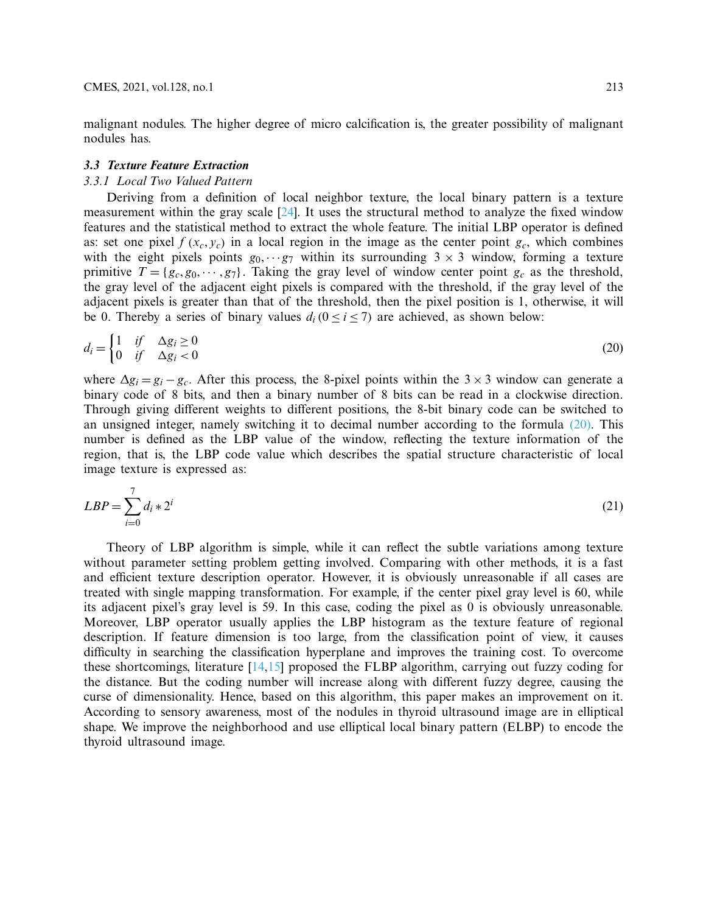malignant nodules. The higher degree of micro calcification is, the greater possibility of malignant nodules has.

### *3.3 Texture Feature Extraction*

### *3.3.1 Local Two Valued Pattern*

Deriving from a definition of local neighbor texture, the local binary pattern is a texture measurement within the gray scale [\[24\]](#page-19-9). It uses the structural method to analyze the fixed window features and the statistical method to extract the whole feature. The initial LBP operator is defined as: set one pixel  $f(x_c, y_c)$  in a local region in the image as the center point  $g_c$ , which combines with the eight pixels points  $g_0$ ,  $\cdots$  *g*<sub>7</sub> within its surrounding  $3 \times 3$  window, forming a texture primitive  $T = \{g_c, g_0, \dots, g_7\}$ . Taking the gray level of window center point  $g_c$  as the threshold, the gray level of the adjacent eight pixels is compared with the threshold, if the gray level of the adjacent pixels is greater than that of the threshold, then the pixel position is 1, otherwise, it will be 0. Thereby a series of binary values  $d_i$  ( $0 \le i \le 7$ ) are achieved, as shown below:

<span id="page-10-0"></span>
$$
d_i = \begin{cases} 1 & \text{if } \Delta g_i \ge 0 \\ 0 & \text{if } \Delta g_i < 0 \end{cases} \tag{20}
$$

where  $\Delta g_i = g_i - g_c$ . After this process, the 8-pixel points within the 3 × 3 window can generate a binary code of 8 bits, and then a binary number of 8 bits can be read in a clockwise direction. Through giving different weights to different positions, the 8-bit binary code can be switched to an unsigned integer, namely switching it to decimal number according to the formula [\(20\).](#page-10-0) This number is defined as the LBP value of the window, reflecting the texture information of the region, that is, the LBP code value which describes the spatial structure characteristic of local image texture is expressed as:

<span id="page-10-1"></span>
$$
LBP = \sum_{i=0}^{7} d_i * 2^i \tag{21}
$$

Theory of LBP algorithm is simple, while it can reflect the subtle variations among texture without parameter setting problem getting involved. Comparing with other methods, it is a fast and efficient texture description operator. However, it is obviously unreasonable if all cases are treated with single mapping transformation. For example, if the center pixel gray level is 60, while its adjacent pixel's gray level is 59. In this case, coding the pixel as 0 is obviously unreasonable. Moreover, LBP operator usually applies the LBP histogram as the texture feature of regional description. If feature dimension is too large, from the classification point of view, it causes difficulty in searching the classification hyperplane and improves the training cost. To overcome these shortcomings, literature [\[14](#page-18-13)[,15](#page-19-0)] proposed the FLBP algorithm, carrying out fuzzy coding for the distance. But the coding number will increase along with different fuzzy degree, causing the curse of dimensionality. Hence, based on this algorithm, this paper makes an improvement on it. According to sensory awareness, most of the nodules in thyroid ultrasound image are in elliptical shape. We improve the neighborhood and use elliptical local binary pattern (ELBP) to encode the thyroid ultrasound image.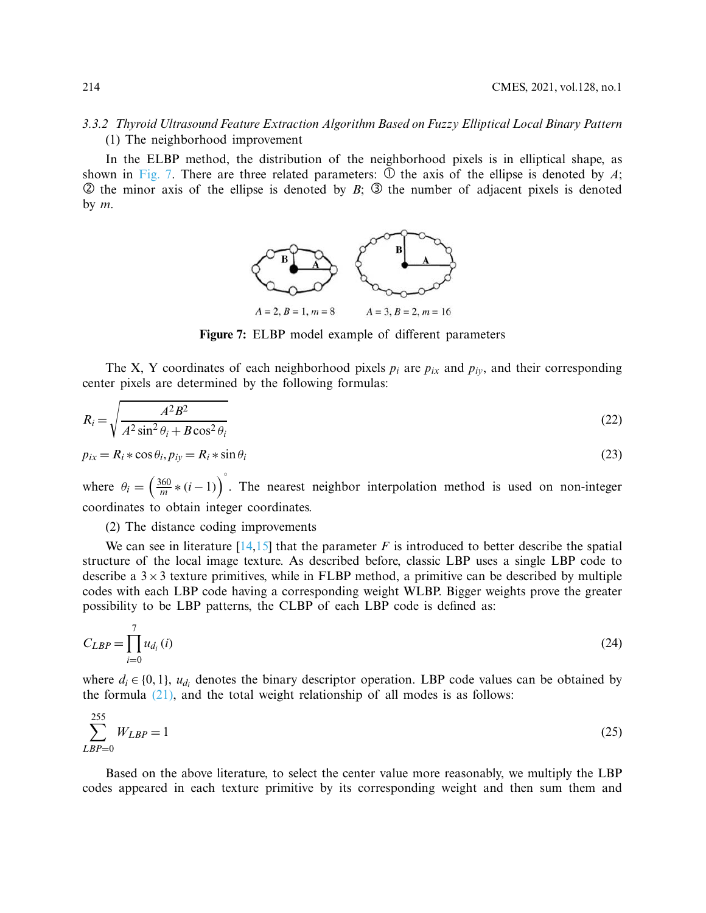# *3.3.2 Thyroid Ultrasound Feature Extraction Algorithm Based on Fuzzy Elliptical Local Binary Pattern* (1) The neighborhood improvement

In the ELBP method, the distribution of the neighborhood pixels is in elliptical shape, as shown in [Fig. 7.](#page-11-0) There are three related parameters:  $\overline{O}$  the axis of the ellipse is denoted by *A*;  $\circled{2}$  the minor axis of the ellipse is denoted by *B*;  $\circled{3}$  the number of adjacent pixels is denoted by *m*.

<span id="page-11-0"></span>

**Figure 7:** ELBP model example of different parameters

The X, Y coordinates of each neighborhood pixels  $p_i$  are  $p_{ix}$  and  $p_{iy}$ , and their corresponding center pixels are determined by the following formulas:

$$
R_i = \sqrt{\frac{A^2 B^2}{A^2 \sin^2 \theta_i + B \cos^2 \theta_i}}
$$
\n(22)

$$
p_{ix} = R_i * \cos \theta_i, p_{iy} = R_i * \sin \theta_i
$$
\n(23)

where  $\theta_i = \left(\frac{360}{m} * (i-1)\right)^{\circ}$ . The nearest neighbor interpolation method is used on non-integer coordinates to obtain integer coordinates.

(2) The distance coding improvements

We can see in literature  $[14,15]$  $[14,15]$  that the parameter *F* is introduced to better describe the spatial structure of the local image texture. As described before, classic LBP uses a single LBP code to describe a  $3 \times 3$  texture primitives, while in FLBP method, a primitive can be described by multiple codes with each LBP code having a corresponding weight WLBP. Bigger weights prove the greater possibility to be LBP patterns, the CLBP of each LBP code is defined as:

$$
C_{LBP} = \prod_{i=0}^{7} u_{d_i}(i)
$$
\n
$$
(24)
$$

where  $d_i \in \{0, 1\}$ ,  $u_{di}$  denotes the binary descriptor operation. LBP code values can be obtained by the formula  $(21)$ , and the total weight relationship of all modes is as follows:

$$
\sum_{LBP=0}^{255} W_{LBP} = 1
$$
\n(25)

Based on the above literature, to select the center value more reasonably, we multiply the LBP codes appeared in each texture primitive by its corresponding weight and then sum them and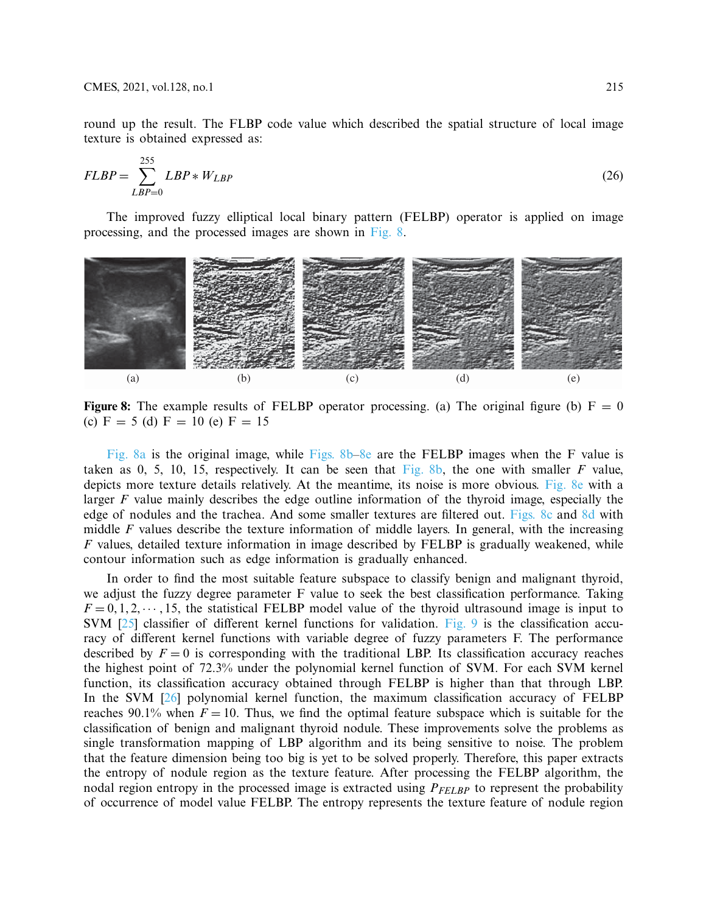round up the result. The FLBP code value which described the spatial structure of local image texture is obtained expressed as:

$$
FLBP = \sum_{LBP=0}^{255} LBP \ast W_{LBP} \tag{26}
$$

The improved fuzzy elliptical local binary pattern (FELBP) operator is applied on image processing, and the processed images are shown in [Fig. 8.](#page-12-0)



<span id="page-12-0"></span>**Figure 8:** The example results of FELBP operator processing. (a) The original figure (b)  $F = 0$ (c)  $F = 5$  (d)  $F = 10$  (e)  $F = 15$ 

[Fig. 8a](#page-12-0) is the original image, while [Figs. 8b–8e](#page-12-0) are the FELBP images when the F value is taken as 0, 5, 10, 15, respectively. It can be seen that  $Fig. 8b$ , the one with smaller *F* value, depicts more texture details relatively. At the meantime, its noise is more obvious. [Fig. 8e](#page-12-0) with a larger *F* value mainly describes the edge outline information of the thyroid image, especially the edge of nodules and the trachea. And some smaller textures are filtered out. [Figs. 8c](#page-12-0) and [8d](#page-12-0) with middle *F* values describe the texture information of middle layers. In general, with the increasing *F* values, detailed texture information in image described by FELBP is gradually weakened, while contour information such as edge information is gradually enhanced.

In order to find the most suitable feature subspace to classify benign and malignant thyroid, we adjust the fuzzy degree parameter F value to seek the best classification performance. Taking  $F = 0, 1, 2, \dots, 15$ , the statistical FELBP model value of the thyroid ultrasound image is input to SVM [\[25\]](#page-19-10) classifier of different kernel functions for validation. [Fig. 9](#page-13-0) is the classification accuracy of different kernel functions with variable degree of fuzzy parameters F. The performance described by  $F = 0$  is corresponding with the traditional LBP. Its classification accuracy reaches the highest point of 72.3% under the polynomial kernel function of SVM. For each SVM kernel function, its classification accuracy obtained through FELBP is higher than that through LBP. In the SVM [\[26\]](#page-19-11) polynomial kernel function, the maximum classification accuracy of FELBP reaches 90.1% when  $F = 10$ . Thus, we find the optimal feature subspace which is suitable for the classification of benign and malignant thyroid nodule. These improvements solve the problems as single transformation mapping of LBP algorithm and its being sensitive to noise. The problem that the feature dimension being too big is yet to be solved properly. Therefore, this paper extracts the entropy of nodule region as the texture feature. After processing the FELBP algorithm, the nodal region entropy in the processed image is extracted using  $P_{FELBP}$  to represent the probability of occurrence of model value FELBP. The entropy represents the texture feature of nodule region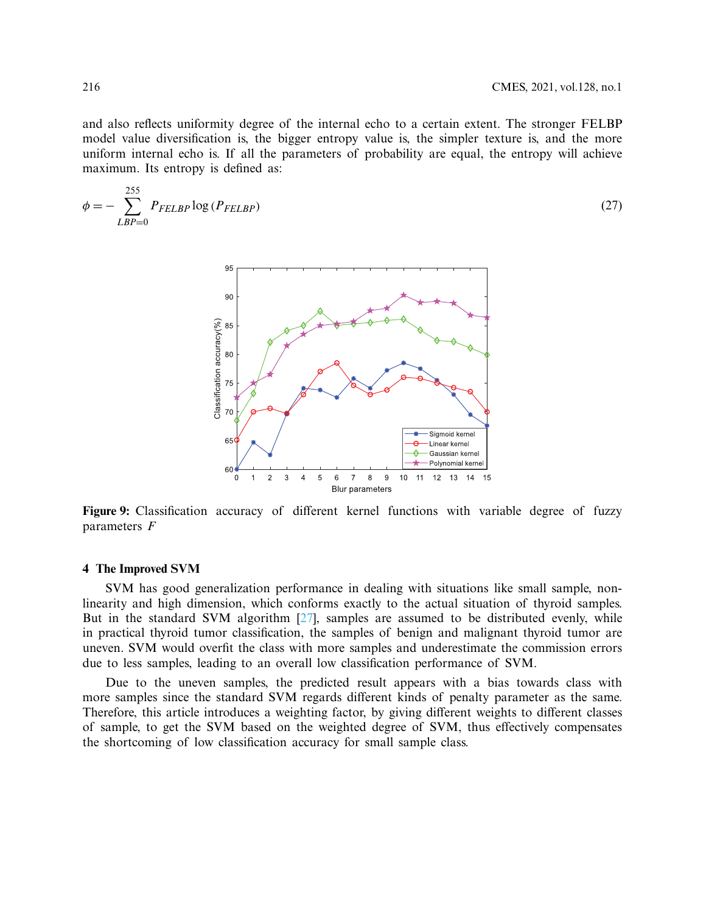and also reflects uniformity degree of the internal echo to a certain extent. The stronger FELBP model value diversification is, the bigger entropy value is, the simpler texture is, and the more uniform internal echo is. If all the parameters of probability are equal, the entropy will achieve maximum. Its entropy is defined as:

$$
\phi = -\sum_{LBP=0}^{255} P_{FELBP} \log \left( P_{FELBP} \right) \tag{27}
$$

<span id="page-13-0"></span>

**Figure 9:** Classification accuracy of different kernel functions with variable degree of fuzzy parameters *F*

### **4 The Improved SVM**

SVM has good generalization performance in dealing with situations like small sample, nonlinearity and high dimension, which conforms exactly to the actual situation of thyroid samples. But in the standard SVM algorithm  $[27]$ , samples are assumed to be distributed evenly, while in practical thyroid tumor classification, the samples of benign and malignant thyroid tumor are uneven. SVM would overfit the class with more samples and underestimate the commission errors due to less samples, leading to an overall low classification performance of SVM.

Due to the uneven samples, the predicted result appears with a bias towards class with more samples since the standard SVM regards different kinds of penalty parameter as the same. Therefore, this article introduces a weighting factor, by giving different weights to different classes of sample, to get the SVM based on the weighted degree of SVM, thus effectively compensates the shortcoming of low classification accuracy for small sample class.

 $255$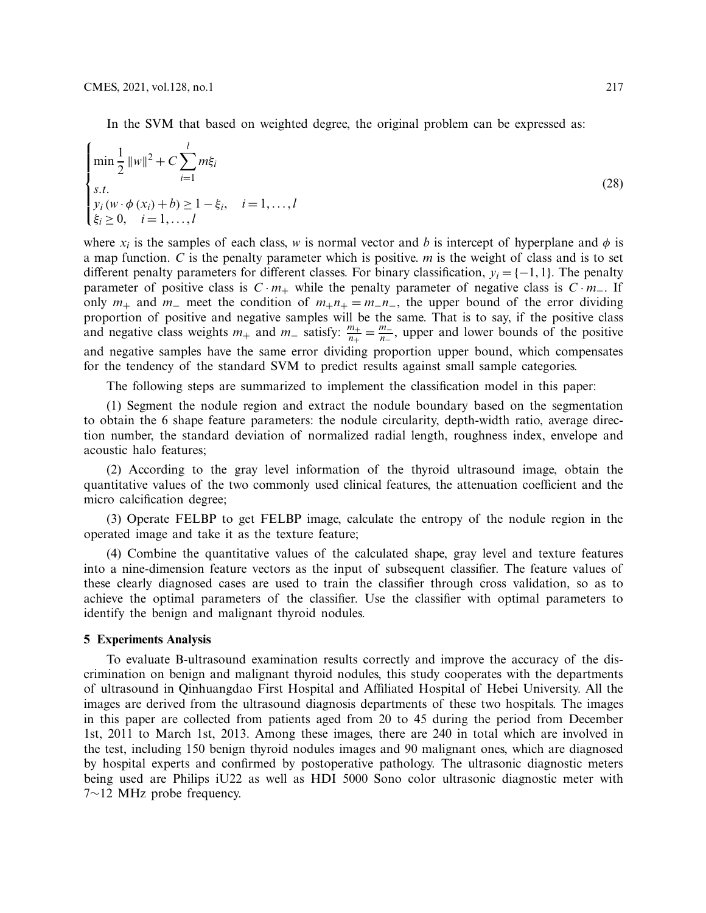$\epsilon$ 

In the SVM that based on weighted degree, the original problem can be expressed as:

$$
\begin{cases}\n\min \frac{1}{2} ||w||^2 + C \sum_{i=1}^{l} m\xi_i \\
s.t. \\
y_i (w \cdot \phi(x_i) + b) \ge 1 - \xi_i, \quad i = 1, ..., l \\
\xi_i \ge 0, \quad i = 1, ..., l\n\end{cases}
$$
\n(28)

where  $x_i$  is the samples of each class, *w* is normal vector and *b* is intercept of hyperplane and  $\phi$  is a map function. *C* is the penalty parameter which is positive. *m* is the weight of class and is to set different penalty parameters for different classes. For binary classification,  $y_i = \{-1, 1\}$ . The penalty parameter of positive class is  $C \cdot m_+$  while the penalty parameter of negative class is  $C \cdot m_-$ . If only  $m_+$  and  $m_-$  meet the condition of  $m_+n_+ = m_-n_-$ , the upper bound of the error dividing proportion of positive and negative samples will be the same. That is to say, if the positive class and negative class weights  $m_+$  and  $m_-$  satisfy:  $\frac{m_+}{n_+} = \frac{m_-}{n_-}$ , upper and lower bounds of the positive and negative samples have the same error dividing proportion upper bound, which compensates for the tendency of the standard SVM to predict results against small sample categories.

The following steps are summarized to implement the classification model in this paper:

(1) Segment the nodule region and extract the nodule boundary based on the segmentation to obtain the 6 shape feature parameters: the nodule circularity, depth-width ratio, average direction number, the standard deviation of normalized radial length, roughness index, envelope and acoustic halo features;

(2) According to the gray level information of the thyroid ultrasound image, obtain the quantitative values of the two commonly used clinical features, the attenuation coefficient and the micro calcification degree;

(3) Operate FELBP to get FELBP image, calculate the entropy of the nodule region in the operated image and take it as the texture feature;

(4) Combine the quantitative values of the calculated shape, gray level and texture features into a nine-dimension feature vectors as the input of subsequent classifier. The feature values of these clearly diagnosed cases are used to train the classifier through cross validation, so as to achieve the optimal parameters of the classifier. Use the classifier with optimal parameters to identify the benign and malignant thyroid nodules.

### **5 Experiments Analysis**

To evaluate B-ultrasound examination results correctly and improve the accuracy of the discrimination on benign and malignant thyroid nodules, this study cooperates with the departments of ultrasound in Qinhuangdao First Hospital and Affiliated Hospital of Hebei University. All the images are derived from the ultrasound diagnosis departments of these two hospitals. The images in this paper are collected from patients aged from 20 to 45 during the period from December 1st, 2011 to March 1st, 2013. Among these images, there are 240 in total which are involved in the test, including 150 benign thyroid nodules images and 90 malignant ones, which are diagnosed by hospital experts and confirmed by postoperative pathology. The ultrasonic diagnostic meters being used are Philips iU22 as well as HDI 5000 Sono color ultrasonic diagnostic meter with 7∼12 MHz probe frequency.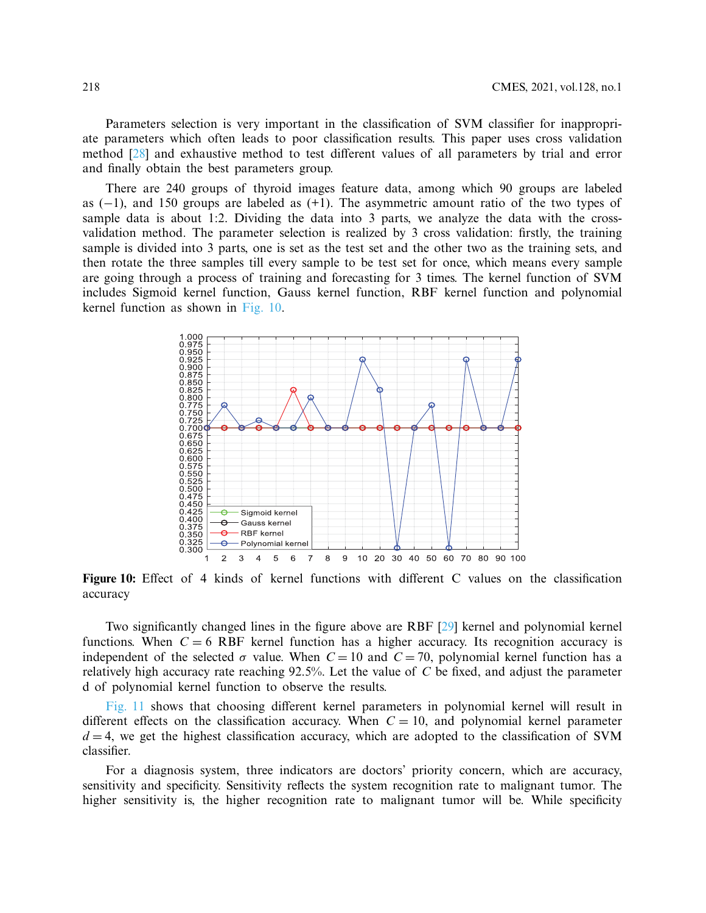Parameters selection is very important in the classification of SVM classifier for inappropriate parameters which often leads to poor classification results. This paper uses cross validation method [\[28](#page-19-13)] and exhaustive method to test different values of all parameters by trial and error and finally obtain the best parameters group.

There are 240 groups of thyroid images feature data, among which 90 groups are labeled as (−1), and 150 groups are labeled as (+1). The asymmetric amount ratio of the two types of sample data is about 1:2. Dividing the data into 3 parts, we analyze the data with the crossvalidation method. The parameter selection is realized by 3 cross validation: firstly, the training sample is divided into 3 parts, one is set as the test set and the other two as the training sets, and then rotate the three samples till every sample to be test set for once, which means every sample are going through a process of training and forecasting for 3 times. The kernel function of SVM includes Sigmoid kernel function, Gauss kernel function, RBF kernel function and polynomial kernel function as shown in [Fig. 10.](#page-15-0)

<span id="page-15-0"></span>

**Figure 10:** Effect of 4 kinds of kernel functions with different C values on the classification accuracy

Two significantly changed lines in the figure above are RBF [\[29\]](#page-19-14) kernel and polynomial kernel functions. When  $C = 6$  RBF kernel function has a higher accuracy. Its recognition accuracy is independent of the selected  $\sigma$  value. When  $C = 10$  and  $C = 70$ , polynomial kernel function has a relatively high accuracy rate reaching 92.5%. Let the value of *C* be fixed, and adjust the parameter d of polynomial kernel function to observe the results.

[Fig. 11](#page-16-0) shows that choosing different kernel parameters in polynomial kernel will result in different effects on the classification accuracy. When  $C = 10$ , and polynomial kernel parameter  $d = 4$ , we get the highest classification accuracy, which are adopted to the classification of SVM classifier.

For a diagnosis system, three indicators are doctors' priority concern, which are accuracy, sensitivity and specificity. Sensitivity reflects the system recognition rate to malignant tumor. The higher sensitivity is, the higher recognition rate to malignant tumor will be. While specificity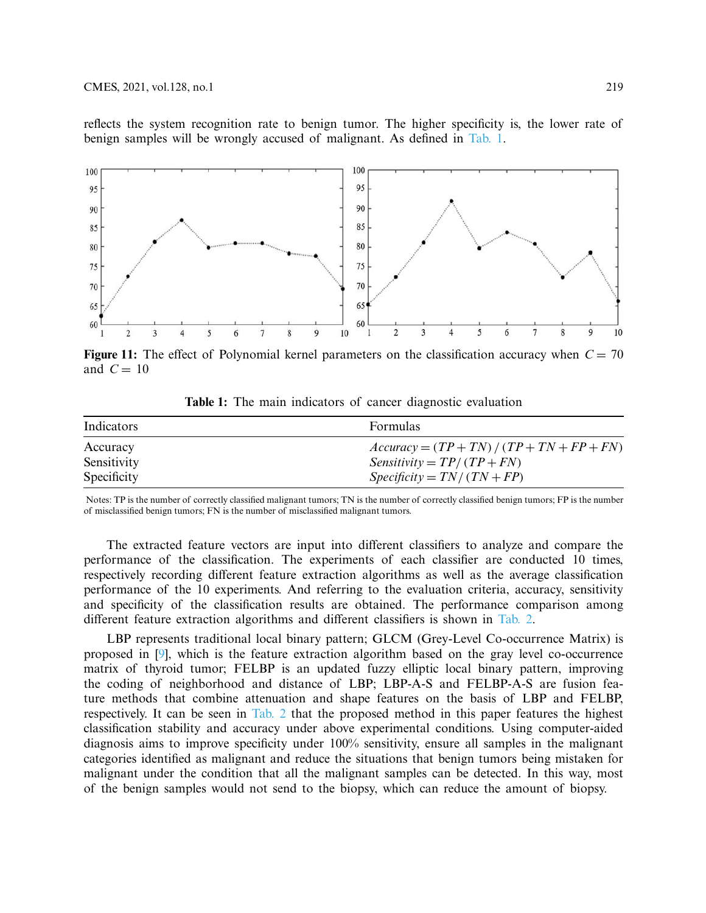reflects the system recognition rate to benign tumor. The higher specificity is, the lower rate of benign samples will be wrongly accused of malignant. As defined in [Tab. 1.](#page-16-1)



**Figure 11:** The effect of Polynomial kernel parameters on the classification accuracy when  $C = 70$ and  $C = 10$ 

<span id="page-16-1"></span>

| Indicators  | <b>Formulas</b>                              |
|-------------|----------------------------------------------|
| Accuracy    | $Accuracy = (TP + TN) / (TP + TN + FP + FN)$ |
| Sensitivity | $Sensitivity = TP/(TP + FN)$                 |
| Specificity | $Specificity = TN / (TN + FP)$               |

<span id="page-16-0"></span>**Table 1:** The main indicators of cancer diagnostic evaluation

Notes: TP is the number of correctly classified malignant tumors; TN is the number of correctly classified benign tumors; FP is the number of misclassified benign tumors; FN is the number of misclassified malignant tumors.

The extracted feature vectors are input into different classifiers to analyze and compare the performance of the classification. The experiments of each classifier are conducted 10 times, respectively recording different feature extraction algorithms as well as the average classification performance of the 10 experiments. And referring to the evaluation criteria, accuracy, sensitivity and specificity of the classification results are obtained. The performance comparison among different feature extraction algorithms and different classifiers is shown in [Tab. 2.](#page-17-0)

LBP represents traditional local binary pattern; GLCM (Grey-Level Co-occurrence Matrix) is proposed in [\[9\]](#page-18-8), which is the feature extraction algorithm based on the gray level co-occurrence matrix of thyroid tumor; FELBP is an updated fuzzy elliptic local binary pattern, improving the coding of neighborhood and distance of LBP; LBP-A-S and FELBP-A-S are fusion feature methods that combine attenuation and shape features on the basis of LBP and FELBP, respectively. It can be seen in [Tab. 2](#page-17-0) that the proposed method in this paper features the highest classification stability and accuracy under above experimental conditions. Using computer-aided diagnosis aims to improve specificity under 100% sensitivity, ensure all samples in the malignant categories identified as malignant and reduce the situations that benign tumors being mistaken for malignant under the condition that all the malignant samples can be detected. In this way, most of the benign samples would not send to the biopsy, which can reduce the amount of biopsy.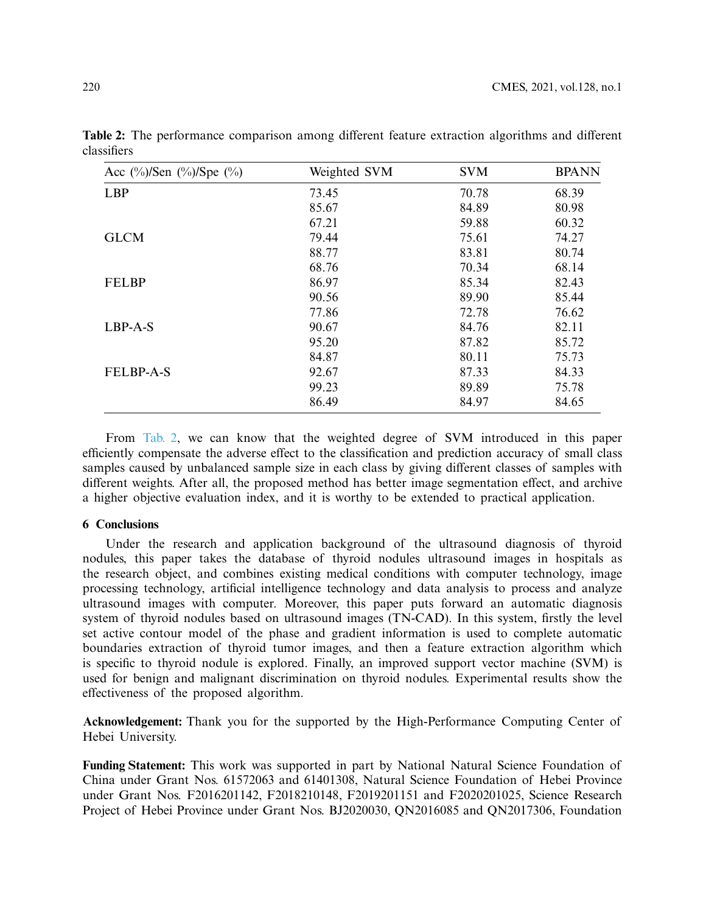| Acc $\frac{(\%)}{Sen}$ $\frac{(\%)}{Spe}$ $\frac{(\%)}{(\%)}$ | Weighted SVM | <b>SVM</b> | <b>BPANN</b> |
|---------------------------------------------------------------|--------------|------------|--------------|
| <b>LBP</b>                                                    | 73.45        | 70.78      | 68.39        |
|                                                               | 85.67        | 84.89      | 80.98        |
|                                                               | 67.21        | 59.88      | 60.32        |
| <b>GLCM</b>                                                   | 79.44        | 75.61      | 74.27        |
|                                                               | 88.77        | 83.81      | 80.74        |
|                                                               | 68.76        | 70.34      | 68.14        |
| <b>FELBP</b>                                                  | 86.97        | 85.34      | 82.43        |
|                                                               | 90.56        | 89.90      | 85.44        |
|                                                               | 77.86        | 72.78      | 76.62        |
| $LBP-A-S$                                                     | 90.67        | 84.76      | 82.11        |
|                                                               | 95.20        | 87.82      | 85.72        |
|                                                               | 84.87        | 80.11      | 75.73        |
| <b>FELBP-A-S</b>                                              | 92.67        | 87.33      | 84.33        |
|                                                               | 99.23        | 89.89      | 75.78        |
|                                                               | 86.49        | 84.97      | 84.65        |

<span id="page-17-0"></span>**Table 2:** The performance comparison among different feature extraction algorithms and different classifiers

From [Tab. 2,](#page-17-0) we can know that the weighted degree of SVM introduced in this paper efficiently compensate the adverse effect to the classification and prediction accuracy of small class samples caused by unbalanced sample size in each class by giving different classes of samples with different weights. After all, the proposed method has better image segmentation effect, and archive a higher objective evaluation index, and it is worthy to be extended to practical application.

### **6 Conclusions**

Under the research and application background of the ultrasound diagnosis of thyroid nodules, this paper takes the database of thyroid nodules ultrasound images in hospitals as the research object, and combines existing medical conditions with computer technology, image processing technology, artificial intelligence technology and data analysis to process and analyze ultrasound images with computer. Moreover, this paper puts forward an automatic diagnosis system of thyroid nodules based on ultrasound images (TN-CAD). In this system, firstly the level set active contour model of the phase and gradient information is used to complete automatic boundaries extraction of thyroid tumor images, and then a feature extraction algorithm which is specific to thyroid nodule is explored. Finally, an improved support vector machine (SVM) is used for benign and malignant discrimination on thyroid nodules. Experimental results show the effectiveness of the proposed algorithm.

**Acknowledgement:** Thank you for the supported by the High-Performance Computing Center of Hebei University.

**Funding Statement:** This work was supported in part by National Natural Science Foundation of China under Grant Nos. 61572063 and 61401308, Natural Science Foundation of Hebei Province under Grant Nos. F2016201142, F2018210148, F2019201151 and F2020201025, Science Research Project of Hebei Province under Grant Nos. BJ2020030, QN2016085 and QN2017306, Foundation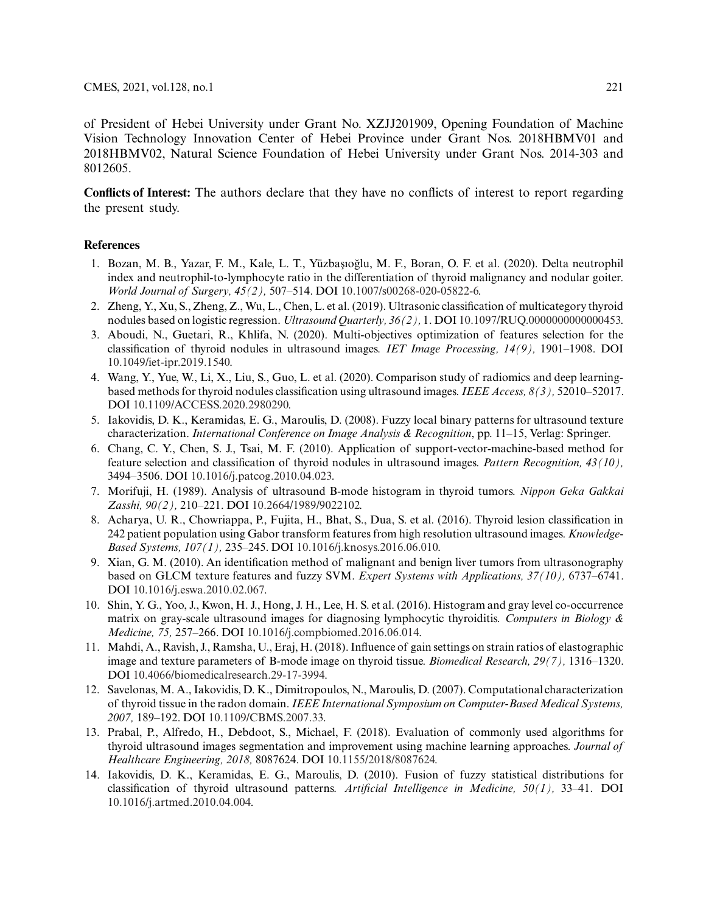of President of Hebei University under Grant No. XZJJ201909, Opening Foundation of Machine Vision Technology Innovation Center of Hebei Province under Grant Nos. 2018HBMV01 and 2018HBMV02, Natural Science Foundation of Hebei University under Grant Nos. 2014-303 and 8012605.

**Conflicts of Interest:** The authors declare that they have no conflicts of interest to report regarding the present study.

### **References**

- <span id="page-18-0"></span>1. Bozan, M. B., Yazar, F. M., Kale, L. T., Yüzbaşıoğlu, M. F., Boran, O. F. et al. (2020). Delta neutrophil index and neutrophil-to-lymphocyte ratio in the differentiation of thyroid malignancy and nodular goiter. *World Journal of Surgery, 45(2),* 507–514. DOI [10.1007/s00268-020-05822-6.](http://dx.doi.org/10.1007/s00268-020-05822-6)
- <span id="page-18-1"></span>2. Zheng, Y., Xu, S., Zheng, Z., Wu, L., Chen, L. et al. (2019). Ultrasonic classification of multicategory thyroid nodules based on logistic regression. *Ultrasound Quarterly, 36(2),* 1. DOI [10.1097/RUQ.0000000000000453.](http://dx.doi.org/10.1097/RUQ.0000000000000453)
- <span id="page-18-2"></span>3. Aboudi, N., Guetari, R., Khlifa, N. (2020). Multi-objectives optimization of features selection for the classification of thyroid nodules in ultrasound images. *IET Image Processing, 14(9),* 1901–1908. DOI [10.1049/iet-ipr.2019.1540.](http://dx.doi.org/10.1049/iet-ipr.2019.1540)
- <span id="page-18-3"></span>4. Wang, Y., Yue, W., Li, X., Liu, S., Guo, L. et al. (2020). Comparison study of radiomics and deep learningbased methods for thyroid nodules classification using ultrasound images. *IEEE Access, 8(3),* 52010–52017. DOI [10.1109/ACCESS.2020.2980290.](http://dx.doi.org/10.1109/ACCESS.2020.2980290)
- <span id="page-18-4"></span>5. Iakovidis, D. K., Keramidas, E. G., Maroulis, D. (2008). Fuzzy local binary patterns for ultrasound texture characterization. *International Conference on Image Analysis & Recognition*, pp. 11–15, Verlag: Springer.
- <span id="page-18-5"></span>6. Chang, C. Y., Chen, S. J., Tsai, M. F. (2010). Application of support-vector-machine-based method for feature selection and classification of thyroid nodules in ultrasound images. *Pattern Recognition, 43(10),* 3494–3506. DOI [10.1016/j.patcog.2010.04.023.](http://dx.doi.org/10.1016/j.patcog.2010.04.023)
- <span id="page-18-6"></span>7. Morifuji, H. (1989). Analysis of ultrasound B-mode histogram in thyroid tumors. *Nippon Geka Gakkai Zasshi, 90(2),* 210–221. DOI [10.2664/1989/9022102.](http://dx.doi.org/10.2664/1989/9022102)
- <span id="page-18-7"></span>8. Acharya, U. R., Chowriappa, P., Fujita, H., Bhat, S., Dua, S. et al. (2016). Thyroid lesion classification in 242 patient population using Gabor transform features from high resolution ultrasound images. *Knowledge-Based Systems, 107(1),* 235–245. DOI [10.1016/j.knosys.2016.06.010.](http://dx.doi.org/10.1016/j.knosys.2016.06.010)
- <span id="page-18-8"></span>9. Xian, G. M. (2010). An identification method of malignant and benign liver tumors from ultrasonography based on GLCM texture features and fuzzy SVM. *Expert Systems with Applications, 37(10),* 6737–6741. DOI [10.1016/j.eswa.2010.02.067.](http://dx.doi.org/10.1016/j.eswa.2010.02.067)
- <span id="page-18-9"></span>10. Shin, Y. G., Yoo, J., Kwon, H. J., Hong, J. H., Lee, H. S. et al. (2016). Histogram and gray level co-occurrence matrix on gray-scale ultrasound images for diagnosing lymphocytic thyroiditis. *Computers in Biology & Medicine, 75,* 257–266. DOI [10.1016/j.compbiomed.2016.06.014.](http://dx.doi.org/10.1016/j.compbiomed.2016.06.014)
- <span id="page-18-10"></span>11. Mahdi, A., Ravish, J., Ramsha, U., Eraj, H. (2018). Influence of gain settings on strain ratios of elastographic image and texture parameters of B-mode image on thyroid tissue. *Biomedical Research, 29(7),* 1316–1320. DOI [10.4066/biomedicalresearch.29-17-3994.](http://dx.doi.org/10.4066/biomedicalresearch.29-17-3994)
- <span id="page-18-11"></span>12. Savelonas, M. A., Iakovidis, D. K., Dimitropoulos, N., Maroulis, D. (2007). Computational characterization of thyroid tissue in the radon domain. *IEEE International Symposium on Computer-Based Medical Systems, 2007,* 189–192. DOI [10.1109/CBMS.2007.33.](http://dx.doi.org/10.1109/CBMS.2007.33)
- <span id="page-18-12"></span>13. Prabal, P., Alfredo, H., Debdoot, S., Michael, F. (2018). Evaluation of commonly used algorithms for thyroid ultrasound images segmentation and improvement using machine learning approaches. *Journal of Healthcare Engineering, 2018,* 8087624. DOI [10.1155/2018/8087624.](http://dx.doi.org/10.1155/2018/8087624)
- <span id="page-18-13"></span>14. Iakovidis, D. K., Keramidas, E. G., Maroulis, D. (2010). Fusion of fuzzy statistical distributions for classification of thyroid ultrasound patterns. *Artificial Intelligence in Medicine, 50(1),* 33–41. DOI [10.1016/j.artmed.2010.04.004.](http://dx.doi.org/10.1016/j.artmed.2010.04.004)